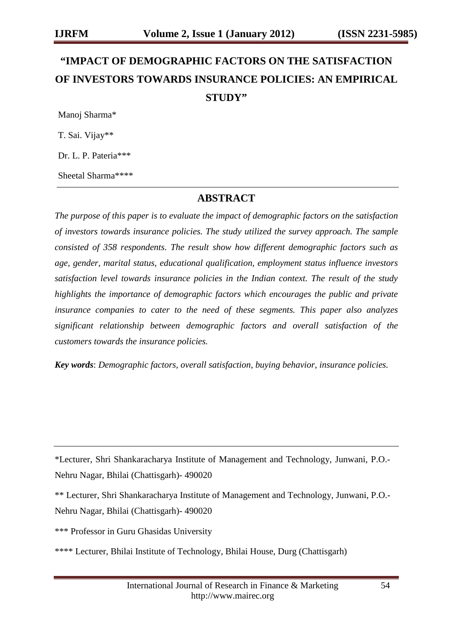# **"IMPACT OF DEMOGRAPHIC FACTORS ON THE SATISFACTION OF INVESTORS TOWARDS INSURANCE POLICIES: AN EMPIRICAL STUDY"**

Manoj Sharma\*

T. Sai. Vijay\*\*

Dr. L. P. Pateria\*\*\*

Sheetal Sharma\*\*\*\*

#### **ABSTRACT**

*The purpose of this paper is to evaluate the impact of demographic factors on the satisfaction of investors towards insurance policies. The study utilized the survey approach. The sample consisted of 358 respondents. The result show how different demographic factors such as age, gender, marital status, educational qualification, employment status influence investors satisfaction level towards insurance policies in the Indian context. The result of the study highlights the importance of demographic factors which encourages the public and private insurance companies to cater to the need of these segments. This paper also analyzes significant relationship between demographic factors and overall satisfaction of the customers towards the insurance policies.*

*Key words*: *Demographic factors, overall satisfaction, buying behavior, insurance policies.*

\*Lecturer, Shri Shankaracharya Institute of Management and Technology, Junwani, P.O.- Nehru Nagar, Bhilai (Chattisgarh)- 490020

\*\* Lecturer, Shri Shankaracharya Institute of Management and Technology, Junwani, P.O.- Nehru Nagar, Bhilai (Chattisgarh)- 490020

\*\*\* Professor in Guru Ghasidas University

\*\*\*\* Lecturer, Bhilai Institute of Technology, Bhilai House, Durg (Chattisgarh)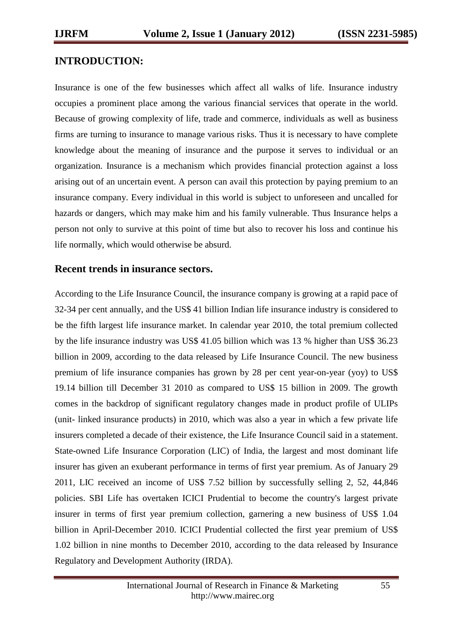# **INTRODUCTION:**

Insurance is one of the few businesses which affect all walks of life. Insurance industry occupies a prominent place among the various financial services that operate in the world. Because of growing complexity of life, trade and commerce, individuals as well as business firms are turning to insurance to manage various risks. Thus it is necessary to have complete knowledge about the meaning of insurance and the purpose it serves to individual or an organization. Insurance is a mechanism which provides financial protection against a loss arising out of an uncertain event. A person can avail this protection by paying premium to an insurance company. Every individual in this world is subject to unforeseen and uncalled for hazards or dangers, which may make him and his family vulnerable. Thus Insurance helps a person not only to survive at this point of time but also to recover his loss and continue his life normally, which would otherwise be absurd.

#### **Recent trends in insurance sectors.**

According to the Life Insurance Council, the insurance company is growing at a rapid pace of 32-34 per cent annually, and the US\$ 41 billion Indian life insurance industry is considered to be the fifth largest life insurance market. In calendar year 2010, the total premium collected by the life insurance industry was US\$ 41.05 billion which was 13 % higher than US\$ 36.23 billion in 2009, according to the data released by Life Insurance Council. The new business premium of life insurance companies has grown by 28 per cent year-on-year (yoy) to US\$ 19.14 billion till December 31 2010 as compared to US\$ 15 billion in 2009. The growth comes in the backdrop of significant regulatory changes made in product profile of ULIPs (unit- linked insurance products) in 2010, which was also a year in which a few private life insurers completed a decade of their existence, the Life Insurance Council said in a statement. State-owned Life Insurance Corporation (LIC) of India, the largest and most dominant life insurer has given an exuberant performance in terms of first year premium. As of January 29 2011, LIC received an income of US\$ 7.52 billion by successfully selling 2, 52, 44,846 policies. SBI Life has overtaken ICICI Prudential to become the country's largest private insurer in terms of first year premium collection, garnering a new business of US\$ 1.04 billion in April-December 2010. ICICI Prudential collected the first year premium of US\$ 1.02 billion in nine months to December 2010, according to the data released by Insurance Regulatory and Development Authority (IRDA).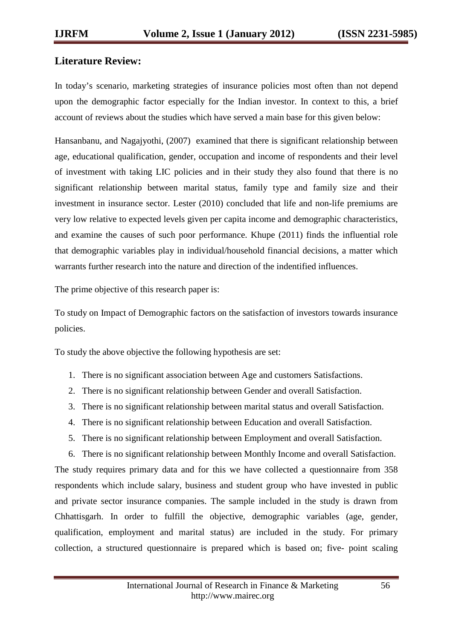# **Literature Review:**

In today's scenario, marketing strategies of insurance policies most often than not depend upon the demographic factor especially for the Indian investor. In context to this, a brief account of reviews about the studies which have served a main base for this given below:

Hansanbanu, and Nagajyothi, (2007) examined that there is significant relationship between age, educational qualification, gender, occupation and income of respondents and their level of investment with taking LIC policies and in their study they also found that there is no significant relationship between marital status, family type and family size and their investment in insurance sector. Lester (2010) concluded that life and non-life premiums are very low relative to expected levels given per capita income and demographic characteristics, and examine the causes of such poor performance. Khupe (2011) finds the influential role that demographic variables play in individual/household financial decisions, a matter which warrants further research into the nature and direction of the indentified influences.

The prime objective of this research paper is:

To study on Impact of Demographic factors on the satisfaction of investors towards insurance policies.

To study the above objective the following hypothesis are set:

- 1. There is no significant association between Age and customers Satisfactions.
- 2. There is no significant relationship between Gender and overall Satisfaction.
- 3. There is no significant relationship between marital status and overall Satisfaction.
- 4. There is no significant relationship between Education and overall Satisfaction.
- 5. There is no significant relationship between Employment and overall Satisfaction.

6. There is no significant relationship between Monthly Income and overall Satisfaction. The study requires primary data and for this we have collected a questionnaire from 358 respondents which include salary, business and student group who have invested in public and private sector insurance companies. The sample included in the study is drawn from Chhattisgarh. In order to fulfill the objective, demographic variables (age, gender, qualification, employment and marital status) are included in the study. For primary collection, a structured questionnaire is prepared which is based on; five- point scaling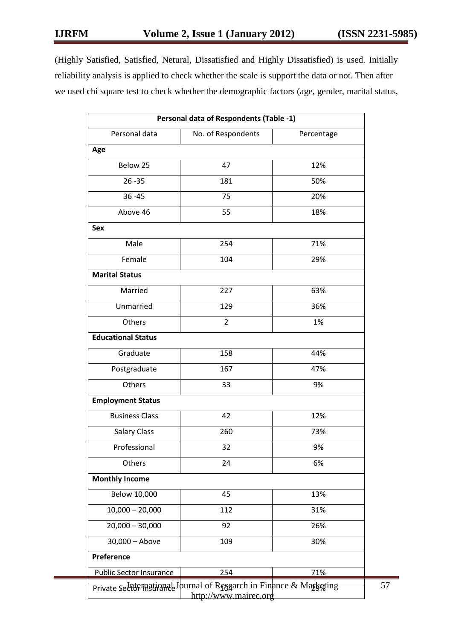(Highly Satisfied, Satisfied, Netural, Dissatisfied and Highly Dissatisfied) is used. Initially reliability analysis is applied to check whether the scale is support the data or not. Then after we used chi square test to check whether the demographic factors (age, gender, marital status,

| <b>Personal data of Respondents (Table -1)</b> |                                                                                                  |            |  |  |  |  |  |
|------------------------------------------------|--------------------------------------------------------------------------------------------------|------------|--|--|--|--|--|
| Personal data                                  | No. of Respondents                                                                               | Percentage |  |  |  |  |  |
|                                                |                                                                                                  |            |  |  |  |  |  |
| Below 25                                       | 47                                                                                               | 12%        |  |  |  |  |  |
| $26 - 35$                                      | 181                                                                                              | 50%        |  |  |  |  |  |
| $36 - 45$                                      | 75                                                                                               | 20%        |  |  |  |  |  |
| Above 46                                       | 55                                                                                               | 18%        |  |  |  |  |  |
|                                                |                                                                                                  |            |  |  |  |  |  |
| Male                                           | 254                                                                                              | 71%        |  |  |  |  |  |
| Female                                         | 104                                                                                              | 29%        |  |  |  |  |  |
| <b>Marital Status</b>                          |                                                                                                  |            |  |  |  |  |  |
| Married                                        | 227                                                                                              | 63%        |  |  |  |  |  |
| Unmarried                                      | 129                                                                                              | 36%        |  |  |  |  |  |
| Others                                         | $\overline{2}$                                                                                   | 1%         |  |  |  |  |  |
| <b>Educational Status</b>                      |                                                                                                  |            |  |  |  |  |  |
| Graduate                                       | 158                                                                                              | 44%        |  |  |  |  |  |
| Postgraduate                                   | 167                                                                                              | 47%        |  |  |  |  |  |
| Others                                         | 33                                                                                               | 9%         |  |  |  |  |  |
| <b>Employment Status</b>                       |                                                                                                  |            |  |  |  |  |  |
| <b>Business Class</b>                          | 42                                                                                               | 12%        |  |  |  |  |  |
| <b>Salary Class</b>                            | 260                                                                                              | 73%        |  |  |  |  |  |
| Professional                                   | 32                                                                                               | 9%         |  |  |  |  |  |
| Others                                         | 24                                                                                               | 6%         |  |  |  |  |  |
| <b>Monthly Income</b>                          |                                                                                                  |            |  |  |  |  |  |
| Below 10,000                                   | 45                                                                                               | 13%        |  |  |  |  |  |
| $10,000 - 20,000$                              | 112                                                                                              | 31%        |  |  |  |  |  |
| $20,000 - 30,000$                              | 92                                                                                               | 26%        |  |  |  |  |  |
| 30,000 - Above                                 | 109                                                                                              | 30%        |  |  |  |  |  |
| Preference                                     |                                                                                                  |            |  |  |  |  |  |
| <b>Public Sector Insurance</b>                 | 254                                                                                              | 71%        |  |  |  |  |  |
|                                                | Private Sector Institutional Journal of Research in Finance & Marketing<br>http://www.mairec.org |            |  |  |  |  |  |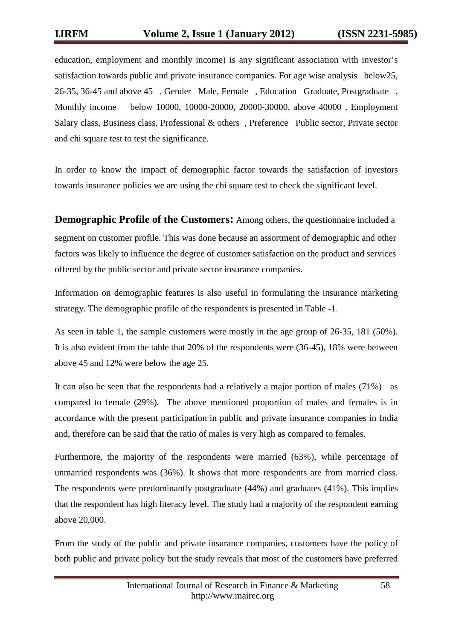education, employment and monthly income) is any significant association with investor's satisfaction towards public and private insurance companies. For age wise analysis below25, 26-35, 36-45 and above 45 , Gender Male, Female , Education Graduate, Postgraduate , Monthly income below 10000, 10000-20000, 20000-30000, above 40000 , Employment Salary class, Business class, Professional & others , Preference Public sector, Private sector and chi square test to test the significance.

In order to know the impact of demographic factor towards the satisfaction of investors towards insurance policies we are using the chi square test to check the significant level.

**Demographic Profile of the Customers:** Among others, the questionnaire included a segment on customer profile. This was done because an assortment of demographic and other factors was likely to influence the degree of customer satisfaction on the product and services offered by the public sector and private sector insurance companies.

Information on demographic features is also useful in formulating the insurance marketing strategy. The demographic profile of the respondents is presented in Table -1.

As seen in table 1, the sample customers were mostly in the age group of 26-35, 181 (50%). It is also evident from the table that 20% of the respondents were (36-45), 18% were between above 45 and 12% were below the age 25.

It can also be seen that the respondents had a relatively a major portion of males (71%) as compared to female (29%). The above mentioned proportion of males and females is in accordance with the present participation in public and private insurance companies in India and, therefore can be said that the ratio of males is very high as compared to females.

Furthermore, the majority of the respondents were married (63%), while percentage of unmarried respondents was (36%). It shows that more respondents are from married class. The respondents were predominantly postgraduate (44%) and graduates (41%). This implies that the respondent has high literacy level. The study had a majority of the respondent earning above 20,000.

From the study of the public and private insurance companies, customers have the policy of both public and private policy but the study reveals that most of the customers have preferred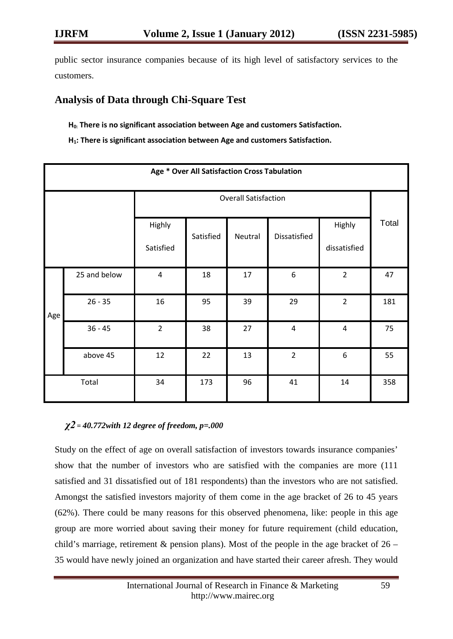public sector insurance companies because of its high level of satisfactory services to the customers.

# **Analysis of Data through Chi-Square Test**

**H0: There is no significant association between Age and customers Satisfaction.**

**H1: There is significant association between Age and customers Satisfaction.**

| Age * Over All Satisfaction Cross Tabulation |              |                |                             |         |                         |                |       |  |  |  |
|----------------------------------------------|--------------|----------------|-----------------------------|---------|-------------------------|----------------|-------|--|--|--|
|                                              |              |                | <b>Overall Satisfaction</b> |         |                         |                |       |  |  |  |
|                                              |              | Highly         | Satisfied                   |         | Dissatisfied            | Highly         | Total |  |  |  |
|                                              |              | Satisfied      |                             | Neutral |                         | dissatisfied   |       |  |  |  |
|                                              | 25 and below | $\overline{4}$ | 18                          | 17      | $\boldsymbol{6}$        | $\overline{2}$ | 47    |  |  |  |
| Age                                          | $26 - 35$    | 16             | 95                          | 39      | 29                      | $\overline{2}$ | 181   |  |  |  |
|                                              | $36 - 45$    | $\overline{2}$ | 38                          | 27      | $\overline{\mathbf{4}}$ | 4              | 75    |  |  |  |
|                                              | above 45     | 12             | 22                          | 13      | $\overline{2}$          | 6              | 55    |  |  |  |
|                                              | Total        | 34             | 173                         | 96      | 41                      | 14             | 358   |  |  |  |

### *χ2 = 40.772with 12 degree of freedom, p=.000*

Study on the effect of age on overall satisfaction of investors towards insurance companies' show that the number of investors who are satisfied with the companies are more (111 satisfied and 31 dissatisfied out of 181 respondents) than the investors who are not satisfied. Amongst the satisfied investors majority of them come in the age bracket of 26 to 45 years (62%). There could be many reasons for this observed phenomena, like: people in this age group are more worried about saving their money for future requirement (child education, child's marriage, retirement & pension plans). Most of the people in the age bracket of  $26 -$ 35 would have newly joined an organization and have started their career afresh. They would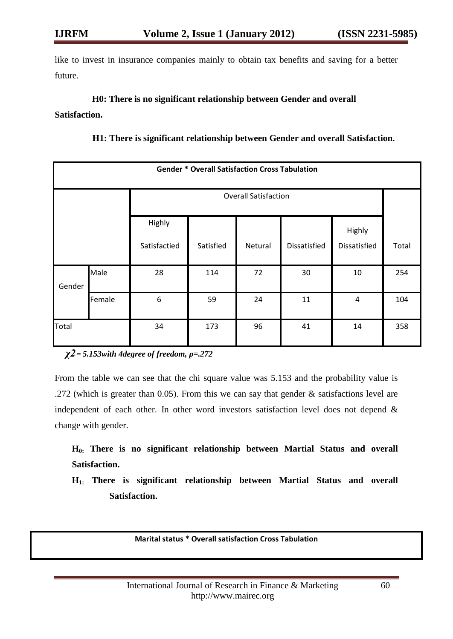like to invest in insurance companies mainly to obtain tax benefits and saving for a better future.

#### **H0: There is no significant relationship between Gender and overall**

#### **Satisfaction.**

|  | H1: There is significant relationship between Gender and overall Satisfaction. |  |  |
|--|--------------------------------------------------------------------------------|--|--|
|  |                                                                                |  |  |

|                             | <b>Gender * Overall Satisfaction Cross Tabulation</b> |                        |           |         |              |                        |       |  |  |
|-----------------------------|-------------------------------------------------------|------------------------|-----------|---------|--------------|------------------------|-------|--|--|
| <b>Overall Satisfaction</b> |                                                       |                        |           |         |              |                        |       |  |  |
|                             |                                                       | Highly<br>Satisfactied | Satisfied | Netural | Dissatisfied | Highly<br>Dissatisfied | Total |  |  |
| Gender                      | Male                                                  | 28                     | 114       | 72      | 30           | 10                     | 254   |  |  |
|                             | Female                                                | 6                      | 59        | 24      | 11           | 4                      | 104   |  |  |
| Total                       |                                                       | 34                     | 173       | 96      | 41           | 14                     | 358   |  |  |

#### *χ2 = 5.153with 4degree of freedom, p=.272*

From the table we can see that the chi square value was 5.153 and the probability value is .272 (which is greater than 0.05). From this we can say that gender & satisfactions level are independent of each other. In other word investors satisfaction level does not depend & change with gender.

**H0: There is no significant relationship between Martial Status and overall Satisfaction.**

**H1: There is significant relationship between Martial Status and overall Satisfaction.**

**Marital status \* Overall satisfaction Cross Tabulation**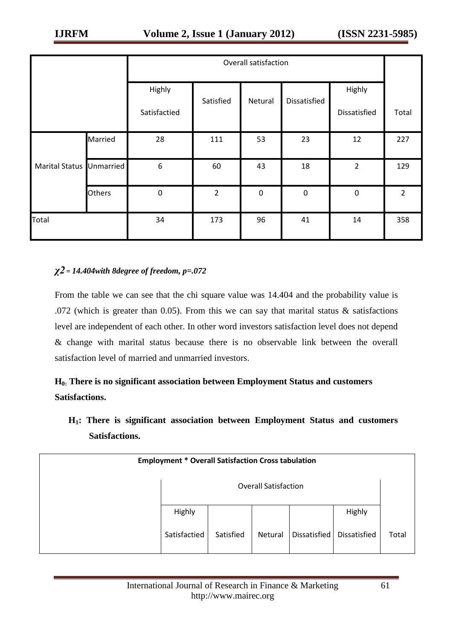|                          |               | Overall satisfaction |                |             |              |                |                |
|--------------------------|---------------|----------------------|----------------|-------------|--------------|----------------|----------------|
|                          |               | Highly               |                |             |              | Highly         |                |
|                          |               | Satisfactied         | Satisfied      | Netural     | Dissatisfied | Dissatisfied   | Total          |
| Marital Status Unmarried | Married       | 28                   | 111            | 53          | 23           | 12             | 227            |
|                          |               | 6                    | 60             | 43          | 18           | $\overline{2}$ | 129            |
|                          | <b>Others</b> | $\pmb{0}$            | $\overline{2}$ | $\mathbf 0$ | $\pmb{0}$    | $\pmb{0}$      | $\overline{2}$ |
| Total                    |               | 34                   | 173            | 96          | 41           | 14             | 358            |

#### *χ2 = 14.404with 8degree of freedom, p=.072*

From the table we can see that the chi square value was 14.404 and the probability value is .072 (which is greater than 0.05). From this we can say that marital status & satisfactions level are independent of each other. In other word investors satisfaction level does not depend & change with marital status because there is no observable link between the overall satisfaction level of married and unmarried investors.

# **H0: There is no significant association between Employment Status and customers Satisfactions.**

**H1: There is significant association between Employment Status and customers Satisfactions.**

| <b>Employment * Overall Satisfaction Cross tabulation</b> |              |                             |         |              |              |       |  |
|-----------------------------------------------------------|--------------|-----------------------------|---------|--------------|--------------|-------|--|
|                                                           |              | <b>Overall Satisfaction</b> |         |              |              |       |  |
|                                                           | Highly       |                             |         |              | Highly       |       |  |
|                                                           | Satisfactied | Satisfied                   | Netural | Dissatisfied | Dissatisfied | Total |  |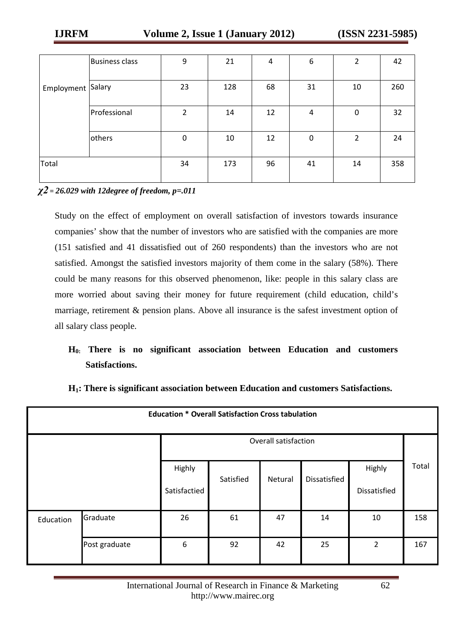| <b>IJRFM</b>      |                       | Volume 2, Issue 1 (January 2012) |     |    |             | $(ISSN 2231-5985)$ |     |  |
|-------------------|-----------------------|----------------------------------|-----|----|-------------|--------------------|-----|--|
|                   |                       |                                  |     |    |             |                    |     |  |
|                   | <b>Business class</b> | 9                                | 21  | 4  | 6           | 2                  | 42  |  |
|                   |                       |                                  |     |    |             |                    |     |  |
| Employment Salary |                       | 23                               | 128 | 68 | 31          | 10                 | 260 |  |
|                   |                       |                                  |     |    |             |                    |     |  |
|                   | Professional          | $\overline{2}$                   | 14  | 12 | 4           | $\mathbf{0}$       | 32  |  |
|                   |                       |                                  |     |    |             |                    |     |  |
|                   | others                | $\mathbf 0$                      | 10  | 12 | $\mathbf 0$ | $\overline{2}$     | 24  |  |
|                   |                       |                                  |     |    |             |                    |     |  |
| Total             |                       | 34                               | 173 | 96 | 41          | 14                 | 358 |  |
|                   |                       |                                  |     |    |             |                    |     |  |

#### *χ2 = 26.029 with 12degree of freedom, p=.011*

Study on the effect of employment on overall satisfaction of investors towards insurance companies' show that the number of investors who are satisfied with the companies are more (151 satisfied and 41 dissatisfied out of 260 respondents) than the investors who are not satisfied. Amongst the satisfied investors majority of them come in the salary (58%). There could be many reasons for this observed phenomenon, like: people in this salary class are more worried about saving their money for future requirement (child education, child's marriage, retirement & pension plans. Above all insurance is the safest investment option of all salary class people.

# **H0: There is no significant association between Education and customers Satisfactions.**

| <b>Education * Overall Satisfaction Cross tabulation</b> |               |              |           |         |              |                     |       |  |  |
|----------------------------------------------------------|---------------|--------------|-----------|---------|--------------|---------------------|-------|--|--|
| Overall satisfaction                                     |               |              |           |         |              |                     |       |  |  |
|                                                          |               | Highly       | Satisfied | Netural | Dissatisfied | Highly              | Total |  |  |
|                                                          |               | Satisfactied |           |         |              | <b>Dissatisfied</b> |       |  |  |
| Education                                                | Graduate      | 26           | 61        | 47      | 14           | 10                  | 158   |  |  |
|                                                          | Post graduate | 6            | 92        | 42      | 25           | $\overline{2}$      | 167   |  |  |

#### **H1: There is significant association between Education and customers Satisfactions.**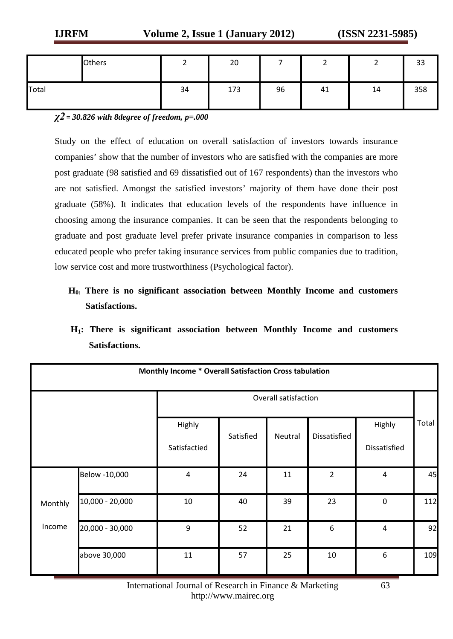|       | <b>Others</b> |    | 20  |    | _  |    | 33  |
|-------|---------------|----|-----|----|----|----|-----|
| Total |               | 34 | 173 | 96 | 41 | 14 | 358 |

#### *χ2 = 30.826 with 8degree of freedom, p=.000*

Study on the effect of education on overall satisfaction of investors towards insurance companies' show that the number of investors who are satisfied with the companies are more post graduate (98 satisfied and 69 dissatisfied out of 167 respondents) than the investors who are not satisfied. Amongst the satisfied investors' majority of them have done their post graduate (58%). It indicates that education levels of the respondents have influence in choosing among the insurance companies. It can be seen that the respondents belonging to graduate and post graduate level prefer private insurance companies in comparison to less educated people who prefer taking insurance services from public companies due to tradition, low service cost and more trustworthiness (Psychological factor).

# **H0: There is no significant association between Monthly Income and customers Satisfactions.**

# **H1: There is significant association between Monthly Income and customers Satisfactions.**

| Monthly Income * Overall Satisfaction Cross tabulation |                 |              |                             |         |                |                  |       |  |  |
|--------------------------------------------------------|-----------------|--------------|-----------------------------|---------|----------------|------------------|-------|--|--|
|                                                        |                 |              | <b>Overall satisfaction</b> |         |                |                  |       |  |  |
|                                                        |                 | Highly       | Satisfied                   | Neutral | Dissatisfied   | Highly           | Total |  |  |
|                                                        |                 | Satisfactied |                             |         |                | Dissatisfied     |       |  |  |
|                                                        | Below -10,000   | 4            | 24                          | 11      | $\overline{2}$ | $\overline{4}$   | 45    |  |  |
| Monthly                                                | 10,000 - 20,000 | 10           | 40                          | 39      | 23             | $\mathbf 0$      | 112   |  |  |
| Income                                                 | 20,000 - 30,000 | 9            | 52                          | 21      | 6              | $\overline{4}$   | 92    |  |  |
|                                                        | above 30,000    | 11           | 57                          | 25      | 10             | $\boldsymbol{6}$ | 109   |  |  |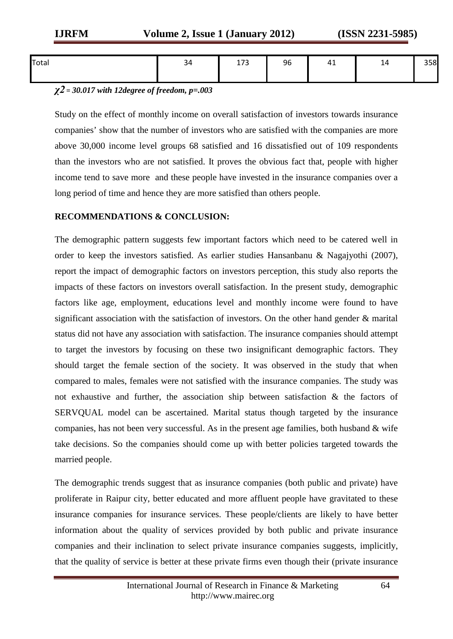| Total | 34 | 172<br><u>., .</u> | 96 | л л<br>ᅮᆂ | 14 | 358 |
|-------|----|--------------------|----|-----------|----|-----|
|       |    |                    |    |           |    |     |

### *χ2 = 30.017 with 12degree of freedom, p=.003*

Study on the effect of monthly income on overall satisfaction of investors towards insurance companies' show that the number of investors who are satisfied with the companies are more above 30,000 income level groups 68 satisfied and 16 dissatisfied out of 109 respondents than the investors who are not satisfied. It proves the obvious fact that, people with higher income tend to save more and these people have invested in the insurance companies over a long period of time and hence they are more satisfied than others people.

#### **RECOMMENDATIONS & CONCLUSION:**

The demographic pattern suggests few important factors which need to be catered well in order to keep the investors satisfied. As earlier studies Hansanbanu & Nagajyothi (2007), report the impact of demographic factors on investors perception, this study also reports the impacts of these factors on investors overall satisfaction. In the present study, demographic factors like age, employment, educations level and monthly income were found to have significant association with the satisfaction of investors. On the other hand gender & marital status did not have any association with satisfaction. The insurance companies should attempt to target the investors by focusing on these two insignificant demographic factors. They should target the female section of the society. It was observed in the study that when compared to males, females were not satisfied with the insurance companies. The study was not exhaustive and further, the association ship between satisfaction & the factors of SERVQUAL model can be ascertained. Marital status though targeted by the insurance companies, has not been very successful. As in the present age families, both husband  $\&$  wife take decisions. So the companies should come up with better policies targeted towards the married people.

The demographic trends suggest that as insurance companies (both public and private) have proliferate in Raipur city, better educated and more affluent people have gravitated to these insurance companies for insurance services. These people/clients are likely to have better information about the quality of services provided by both public and private insurance companies and their inclination to select private insurance companies suggests, implicitly, that the quality of service is better at these private firms even though their (private insurance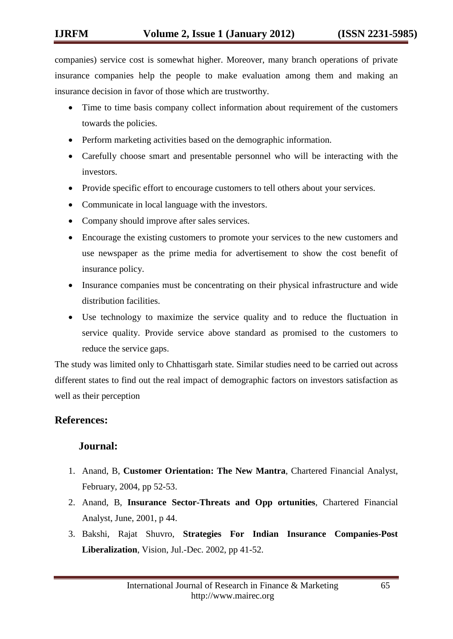companies) service cost is somewhat higher. Moreover, many branch operations of private insurance companies help the people to make evaluation among them and making an insurance decision in favor of those which are trustworthy.

- Time to time basis company collect information about requirement of the customers towards the policies.
- Perform marketing activities based on the demographic information.
- Carefully choose smart and presentable personnel who will be interacting with the investors.
- Provide specific effort to encourage customers to tell others about your services.
- Communicate in local language with the investors.
- Company should improve after sales services.
- Encourage the existing customers to promote your services to the new customers and use newspaper as the prime media for advertisement to show the cost benefit of insurance policy.
- Insurance companies must be concentrating on their physical infrastructure and wide distribution facilities.
- Use technology to maximize the service quality and to reduce the fluctuation in service quality. Provide service above standard as promised to the customers to reduce the service gaps.

The study was limited only to Chhattisgarh state. Similar studies need to be carried out across different states to find out the real impact of demographic factors on investors satisfaction as well as their perception

### **References:**

### **Journal:**

- 1. Anand, B, **Customer Orientation: The New Mantra**, Chartered Financial Analyst, February, 2004, pp 52-53.
- 2. Anand, B, **Insurance Sector-Threats and Opp ortunities**, Chartered Financial Analyst, June, 2001, p 44.
- 3. Bakshi, Rajat Shuvro, **Strategies For Indian Insurance Companies-Post Liberalization**, Vision, Jul.-Dec. 2002, pp 41-52.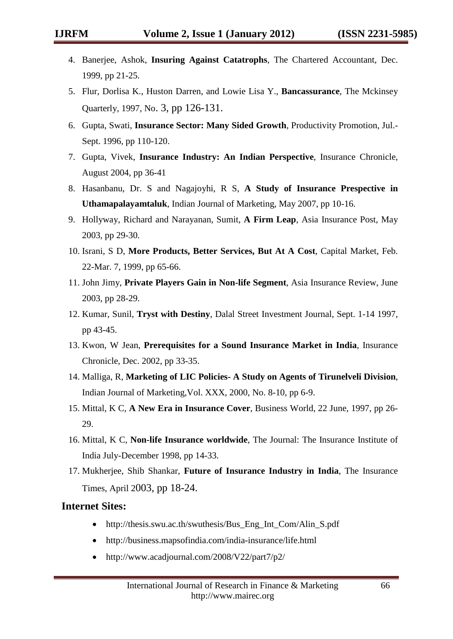- 4. Banerjee, Ashok, **Insuring Against Catatrophs**, The Chartered Accountant, Dec. 1999, pp 21-25.
- 5. Flur, Dorlisa K., Huston Darren, and Lowie Lisa Y., **Bancassurance**, The Mckinsey Quarterly, 1997, No. 3, pp 126-131.
- 6. Gupta, Swati, **Insurance Sector: Many Sided Growth**, Productivity Promotion, Jul.- Sept. 1996, pp 110-120.
- 7. Gupta, Vivek, **Insurance Industry: An Indian Perspective**, Insurance Chronicle, August 2004, pp 36-41
- 8. Hasanbanu, Dr. S and Nagajoyhi, R S, **A Study of Insurance Prespective in Uthamapalayamtaluk**, Indian Journal of Marketing, May 2007, pp 10-16.
- 9. Hollyway, Richard and Narayanan, Sumit, **A Firm Leap**, Asia Insurance Post, May 2003, pp 29-30.
- 10. Israni, S D, **More Products, Better Services, But At A Cost**, Capital Market, Feb. 22-Mar. 7, 1999, pp 65-66.
- 11. John Jimy, **Private Players Gain in Non-life Segment**, Asia Insurance Review, June 2003, pp 28-29.
- 12. Kumar, Sunil, **Tryst with Destiny**, Dalal Street Investment Journal, Sept. 1-14 1997, pp 43-45.
- 13. Kwon, W Jean, **Prerequisites for a Sound Insurance Market in India**, Insurance Chronicle, Dec. 2002, pp 33-35.
- 14. Malliga, R, **Marketing of LIC Policies- A Study on Agents of Tirunelveli Division**, Indian Journal of Marketing,Vol. XXX, 2000, No. 8-10, pp 6-9.
- 15. Mittal, K C, **A New Era in Insurance Cover**, Business World, 22 June, 1997, pp 26- 29.
- 16. Mittal, K C, **Non-life Insurance worldwide**, The Journal: The Insurance Institute of India July-December 1998, pp 14-33.
- 17. Mukherjee, Shib Shankar, **Future of Insurance Industry in India**, The Insurance Times, April 2003, pp 18-24.

#### **Internet Sites:**

- [http://thesis.swu.ac.th/swuthesis/Bus\\_Eng\\_Int\\_Com/Alin\\_S.pdf](http://thesis.swu.ac.th/swuthesis/Bus_Eng_Int_Com/Alin_S.pdf)
- <http://business.mapsofindia.com/india-insurance/life.html>
- <http://www.acadjournal.com/2008/V22/part7/p2/>